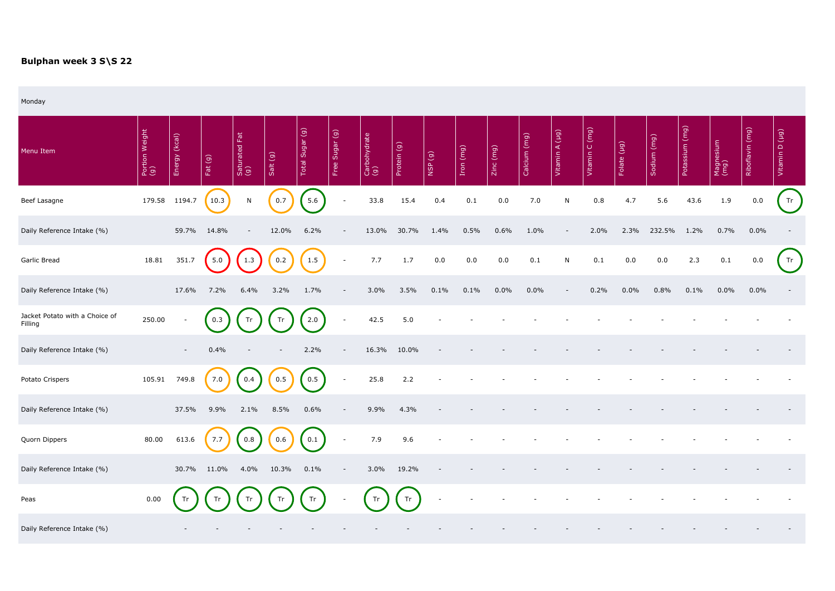## **Bulphan week 3 S\S 22**

Monday

| Menu Item                                 | Portion Weight<br>(g) | (kcal)<br>Energy | Fat $(g)$ | 园<br>Saturated I<br>(g) | Salt (g) | Total Sugar (g) | Free Sugar (g)           | Carbohydrate<br>(g) | Protein (g) | NSP (g) | Iron (mg) | Zinc (mg) | Calcium (mg) | Vitamin A (µg) | Vitamin C (mg) | Folate (µg) | Sodium (mg) | (mg)<br>Potassium | Magnesium<br>(mg) | Riboflavin (mg) | Vitamin D (µg) |
|-------------------------------------------|-----------------------|------------------|-----------|-------------------------|----------|-----------------|--------------------------|---------------------|-------------|---------|-----------|-----------|--------------|----------------|----------------|-------------|-------------|-------------------|-------------------|-----------------|----------------|
| Beef Lasagne                              | 179.58                | 1194.7           | 10.3      | $\mathsf{N}$            | 0.7      | 5.6             | $\overline{\phantom{a}}$ | 33.8                | 15.4        | 0.4     | 0.1       | 0.0       | 7.0          | N              | 0.8            | 4.7         | 5.6         | 43.6              | 1.9               | 0.0             | Tr             |
| Daily Reference Intake (%)                |                       | 59.7%            | 14.8%     |                         | 12.0%    | 6.2%            | $\overline{\phantom{a}}$ | 13.0%               | 30.7%       | 1.4%    | 0.5%      | 0.6%      | 1.0%         |                | 2.0%           | 2.3%        | 232.5%      | 1.2%              | 0.7%              | $0.0\%$         |                |
| Garlic Bread                              | 18.81                 | 351.7            | 5.0       | 1.3                     | 0.2      | 1.5             | $\overline{\phantom{a}}$ | 7.7                 | 1.7         | 0.0     | 0.0       | 0.0       | 0.1          | N              | 0.1            | 0.0         | 0.0         | 2.3               | 0.1               | 0.0             | Tr             |
| Daily Reference Intake (%)                |                       | 17.6%            | 7.2%      | 6.4%                    | 3.2%     | 1.7%            |                          | 3.0%                | 3.5%        | 0.1%    | 0.1%      | 0.0%      | 0.0%         |                | 0.2%           | 0.0%        | 0.8%        | 0.1%              | 0.0%              | $0.0\%$         |                |
| Jacket Potato with a Choice of<br>Filling | 250.00                |                  | 0.3       | Tr                      | Tr       | 2.0             | $\overline{\phantom{a}}$ | 42.5                | 5.0         |         |           |           |              |                |                |             |             |                   |                   |                 |                |
| Daily Reference Intake (%)                |                       |                  | 0.4%      |                         |          | 2.2%            |                          | 16.3%               | 10.0%       |         |           |           |              |                |                |             |             |                   |                   |                 |                |
| Potato Crispers                           | 105.91                | 749.8            | 7.0       | 0.4                     | 0.5      | 0.5             | $\overline{\phantom{a}}$ | 25.8                | 2.2         |         |           |           |              |                |                |             |             |                   |                   |                 |                |
| Daily Reference Intake (%)                |                       | 37.5%            | 9.9%      | 2.1%                    | 8.5%     | 0.6%            |                          | 9.9%                | 4.3%        |         |           |           |              |                |                |             |             |                   |                   |                 |                |
| Quorn Dippers                             | 80.00                 | 613.6            | 7.7       | 0.8                     | 0.6      | 0.1             | $\overline{\phantom{a}}$ | 7.9                 | 9.6         |         |           |           |              |                |                |             |             |                   |                   |                 |                |
| Daily Reference Intake (%)                |                       | 30.7%            | 11.0%     | 4.0%                    | 10.3%    | 0.1%            |                          | 3.0%                | 19.2%       |         |           |           |              |                |                |             |             |                   |                   |                 |                |
| Peas                                      | 0.00                  |                  |           |                         | Tr       | Tr              |                          | Tr                  | Tr          |         |           |           |              |                |                |             |             |                   |                   |                 |                |
| Daily Reference Intake (%)                |                       |                  |           |                         |          |                 |                          |                     |             |         |           |           |              |                |                |             |             |                   |                   |                 |                |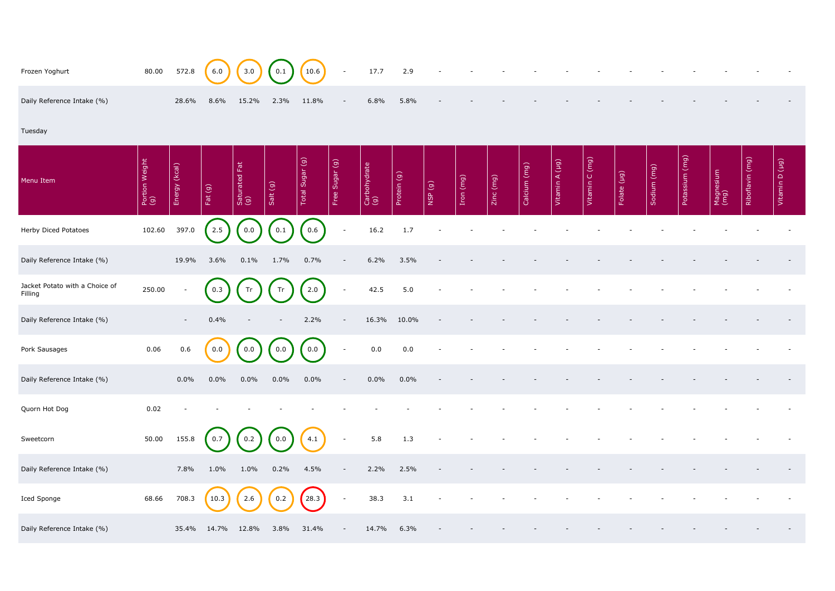| Frozen Yoghurt                            | 80.00                 | 572.8            | 6.0         | 3.0                       | 0.1      | 10.6            | $\sim$                   | 17.7                | 2.9         |        |           |           |              |                |                |             |             |                   |                   |                 |                |
|-------------------------------------------|-----------------------|------------------|-------------|---------------------------|----------|-----------------|--------------------------|---------------------|-------------|--------|-----------|-----------|--------------|----------------|----------------|-------------|-------------|-------------------|-------------------|-----------------|----------------|
| Daily Reference Intake (%)                |                       | 28.6%            | 8.6%        | 15.2%                     | 2.3%     | 11.8%           | $\overline{\phantom{a}}$ | 6.8%                | 5.8%        |        |           |           |              |                |                |             |             |                   |                   |                 |                |
| Tuesday                                   |                       |                  |             |                           |          |                 |                          |                     |             |        |           |           |              |                |                |             |             |                   |                   |                 |                |
| Menu Item                                 | Portion Weight<br>(g) | (kcal)<br>Energy | Fat $(g)$   | Fat<br>Saturated I<br>(g) | Salt (g) | Total Sugar (g) | Free Sugar (g)           | Carbohydrate<br>(g) | Protein (g) | NSP(g) | Iron (mg) | Zinc (mg) | Calcium (mg) | Vitamin A (µg) | Vitamin C (mg) | Folate (µg) | Sodium (mg) | (mg)<br>Potassium | Magnesium<br>(mg) | Riboflavin (mg) | Vitamin D (µg) |
| Herby Diced Potatoes                      | 102.60                | 397.0            | 2.5         | 0.0                       | 0.1      | 0.6             | $\overline{\phantom{a}}$ | 16.2                | 1.7         |        |           |           |              |                |                |             |             |                   |                   |                 |                |
| Daily Reference Intake (%)                |                       | 19.9%            | 3.6%        | 0.1%                      | 1.7%     | 0.7%            |                          | 6.2%                | 3.5%        |        |           |           |              |                |                |             |             |                   |                   |                 |                |
| Jacket Potato with a Choice of<br>Filling | 250.00                |                  | 0.3         | Tr                        | Tr       | 2.0             | $\overline{\phantom{a}}$ | 42.5                | 5.0         |        |           |           |              |                |                |             |             |                   |                   |                 |                |
| Daily Reference Intake (%)                |                       |                  | 0.4%        |                           |          | 2.2%            |                          | 16.3%               | 10.0%       |        |           |           |              |                |                |             |             |                   |                   |                 |                |
| Pork Sausages                             | 0.06                  | 0.6              | 0.0         | 0.0                       | 0.0      | 0.0             | $\overline{\phantom{a}}$ | 0.0                 | 0.0         |        |           |           |              |                |                |             |             |                   |                   |                 |                |
| Daily Reference Intake (%)                |                       | $0.0\%$          | $0.0\%$     | $0.0\%$                   | $0.0\%$  | $0.0\%$         | $\sim$                   | $0.0\%$             | $0.0\%$     |        |           |           |              |                |                |             |             |                   |                   |                 |                |
| Quorn Hot Dog                             | 0.02                  |                  |             |                           |          |                 |                          |                     |             |        |           |           |              |                |                |             |             |                   |                   |                 |                |
| Sweetcorn                                 | 50.00                 | 155.8            | 0.7         | 0.2                       | 0.0      | 4.1             | $\overline{\phantom{a}}$ | 5.8                 | 1.3         |        |           |           |              |                |                |             |             |                   |                   |                 |                |
| Daily Reference Intake (%)                |                       | 7.8%             | $1.0\%$     | $1.0\%$                   | $0.2\%$  | 4.5%            | $\overline{\phantom{a}}$ | 2.2%                | 2.5%        |        |           |           |              |                |                |             |             |                   |                   |                 |                |
| Iced Sponge                               | 68.66                 | 708.3            | 10.3        | 2.6                       | 0.2      | 28.3            | $\overline{\phantom{a}}$ | 38.3                | 3.1         |        |           |           |              |                |                |             |             |                   |                   |                 |                |
| Daily Reference Intake (%)                |                       |                  | 35.4% 14.7% | 12.8%                     | $3.8\%$  | 31.4%           | $\sim$                   | 14.7%               | 6.3%        |        |           |           |              |                |                |             |             |                   |                   |                 |                |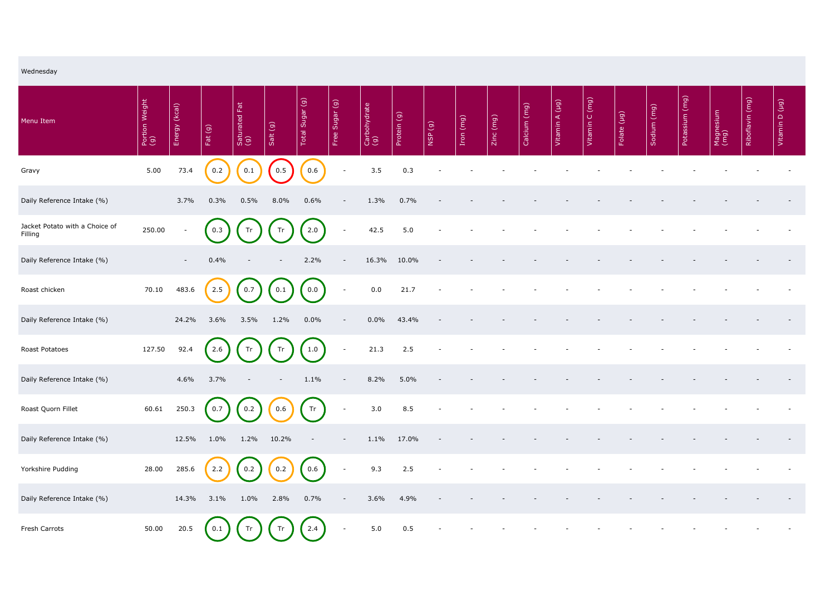| Wednesday                                 |                       |                  |           |                           |          |                 |                          |                     |             |        |           |           |              |                |                |             |             |                |                   |                 |                |
|-------------------------------------------|-----------------------|------------------|-----------|---------------------------|----------|-----------------|--------------------------|---------------------|-------------|--------|-----------|-----------|--------------|----------------|----------------|-------------|-------------|----------------|-------------------|-----------------|----------------|
| Menu Item                                 | Portion Weight<br>(g) | (kcal)<br>Energy | Fat $(g)$ | Eat<br>Saturated F<br>(g) | Salt (g) | Total Sugar (g) | Free Sugar (g)           | Carbohydrate<br>(g) | Protein (g) | NSP(g) | Iron (mg) | Zinc (mg) | Calcium (mg) | Vitamin A (µg) | Vitamin C (mg) | Folate (µg) | Sodium (mg) | Potassium (mg) | Magnesium<br>(mg) | Riboflavin (mg) | Vitamin D (µg) |
| Gravy                                     | 5.00                  | 73.4             | 0.2       | 0.1                       | 0.5      | 0.6             | $\overline{\phantom{a}}$ | 3.5                 | 0.3         |        |           |           |              |                |                |             |             |                |                   |                 |                |
| Daily Reference Intake (%)                |                       | 3.7%             | 0.3%      | 0.5%                      | 8.0%     | 0.6%            | $\overline{\phantom{a}}$ | 1.3%                | 0.7%        |        |           |           |              |                |                |             |             |                |                   |                 |                |
| Jacket Potato with a Choice of<br>Filling | 250.00                | $\sim$           | 0.3       | Tr                        | Tr       | 2.0             | $\overline{\phantom{a}}$ | 42.5                | 5.0         |        |           |           |              |                |                |             |             |                |                   |                 |                |
| Daily Reference Intake (%)                |                       | $\sim$           | 0.4%      |                           |          | 2.2%            | $\overline{\phantom{a}}$ | 16.3%               | 10.0%       |        |           |           |              |                |                |             |             |                |                   |                 |                |
| Roast chicken                             | 70.10                 | 483.6            | 2.5       | 0.7                       | 0.1      | 0.0             | $\overline{\phantom{a}}$ | 0.0                 | 21.7        |        |           |           |              |                |                |             |             |                |                   |                 |                |
| Daily Reference Intake (%)                |                       | 24.2%            | 3.6%      | 3.5%                      | 1.2%     | $0.0\%$         |                          | $0.0\%$             | 43.4%       |        |           |           |              |                |                |             |             |                |                   |                 |                |
| <b>Roast Potatoes</b>                     | 127.50                | 92.4             | 2.6       | Tr                        | Tr       | 1.0             | $\overline{\phantom{a}}$ | 21.3                | 2.5         |        |           |           |              |                |                |             |             |                |                   |                 |                |
| Daily Reference Intake (%)                |                       | 4.6%             | $3.7\%$   | $\overline{\phantom{a}}$  | $\sim$   | $1.1\%$         | $\blacksquare$           | 8.2%                | $5.0\%$     |        |           |           |              |                |                |             |             |                |                   |                 |                |
| Roast Quorn Fillet                        | 60.61                 | 250.3            | 0.7       | 0.2                       | 0.6      | Tr              | $\overline{\phantom{a}}$ | 3.0                 | 8.5         |        |           |           |              |                |                |             |             |                |                   |                 |                |
| Daily Reference Intake (%)                |                       | 12.5%            | $1.0\%$   | 1.2% 10.2%                |          |                 |                          | 1.1%                | 17.0%       |        |           |           |              |                |                |             |             |                |                   |                 |                |
| Yorkshire Pudding                         | 28.00                 | 285.6            | 2.2       | 0.2                       | 0.2      | 0.6             | $\overline{\phantom{a}}$ | 9.3                 | 2.5         |        |           |           |              |                |                |             |             |                |                   |                 |                |
| Daily Reference Intake (%)                |                       | 14.3%            | 3.1%      | $1.0\%$                   | 2.8%     | 0.7%            | $\overline{\phantom{a}}$ | 3.6%                | 4.9%        |        |           |           |              |                |                |             |             |                |                   |                 |                |
| Fresh Carrots                             | 50.00                 | 20.5             | 0.1       | Tr                        | Tr       | 2.4             | $\overline{\phantom{a}}$ | 5.0                 | 0.5         |        |           |           |              |                |                |             |             |                |                   |                 |                |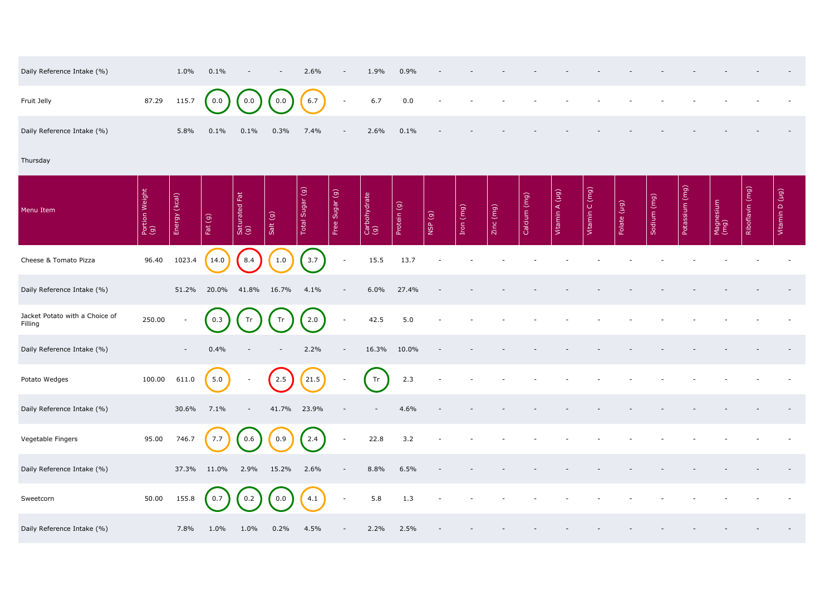| Daily Reference Intake (%) | $1.0\%$ | $0.1\%$ | $\sim$  | $\overline{\phantom{0}}$ | 2.6%                                                        | $\sim$ | 1.9% | $0.9\%$ | $\sim$ | $\sim$ | $\overline{\phantom{0}}$ | $-$    |        |  |
|----------------------------|---------|---------|---------|--------------------------|-------------------------------------------------------------|--------|------|---------|--------|--------|--------------------------|--------|--------|--|
| Fruit Jelly                |         |         |         |                          | 87.29 115.7 $(0.0)$ $(0.0)$ $(0.0)$ $(6.7)$ - 6.7 0.0 - - - |        |      |         |        |        |                          | $\sim$ | $\sim$ |  |
| Daily Reference Intake (%) | 5.8%    | $0.1\%$ | $0.1\%$ | 0.3%                     | $7.4\%$                                                     | $-$    | 2.6% | $0.1\%$ | $\sim$ | $\sim$ | $\sim$                   |        |        |  |

## Thursday

| Daily Reference Intake (%)                |                       | 1.0%                     | 0.1%      |                      |                                                  | 2.6%            | $\overline{\phantom{a}}$ | 1.9%                                                       | 0.9%        |        |           |           |              |                |                |             |             |                                    |                   |                 |                |
|-------------------------------------------|-----------------------|--------------------------|-----------|----------------------|--------------------------------------------------|-----------------|--------------------------|------------------------------------------------------------|-------------|--------|-----------|-----------|--------------|----------------|----------------|-------------|-------------|------------------------------------|-------------------|-----------------|----------------|
| Fruit Jelly                               | 87.29                 | 115.7                    | 0.0       | 0.0                  | 0.0                                              | 6.7             | $\overline{\phantom{a}}$ | 6.7                                                        | 0.0         |        |           |           |              |                |                |             |             |                                    |                   |                 |                |
| Daily Reference Intake (%)                |                       | 5.8%                     | 0.1%      | 0.1%                 | 0.3%                                             | 7.4%            |                          | 2.6%                                                       | 0.1%        |        |           |           |              |                |                |             |             |                                    |                   |                 |                |
| Thursday                                  |                       |                          |           |                      |                                                  |                 |                          |                                                            |             |        |           |           |              |                |                |             |             |                                    |                   |                 |                |
| Menu Item                                 | Portion Weight<br>(g) | Energy (kcal)            | Fat $(g)$ | Saturated Fat<br>(g) | Salt (g)                                         | Total Sugar (g) | Free Sugar (g)           | Carbohydrate<br>(g)                                        | Protein (g) | NSP(g) | Iron (mg) | Zinc (mg) | Calcium (mg) | Vitamin A (µg) | Vitamin C (mg) | Folate (µg) | Sodium (mg) | $\boxed{\text{(mg)}}$<br>Potassium | Magnesium<br>(mg) | Riboflavin (mg) | Vitamin D (µg) |
| Cheese & Tomato Pizza                     | 96.40                 | 1023.4                   | 14.0      | 8.4                  | 1.0                                              | 3.7             | $\blacksquare$           | 15.5                                                       | 13.7        |        |           |           |              |                |                |             |             |                                    |                   |                 |                |
| Daily Reference Intake (%)                |                       | 51.2%                    | 20.0%     | 41.8%                | 16.7%                                            | 4.1%            |                          | 6.0%                                                       | 27.4%       |        |           |           |              |                |                |             |             |                                    |                   |                 |                |
| Jacket Potato with a Choice of<br>Filling | 250.00                | $\overline{\phantom{a}}$ | 0.3       | Tr                   | Tr                                               | 2.0             | $\overline{\phantom{a}}$ | 42.5                                                       | 5.0         |        |           |           |              |                |                |             |             |                                    |                   |                 |                |
| Daily Reference Intake (%)                |                       | $\overline{\phantom{a}}$ | 0.4%      |                      |                                                  | 2.2%            |                          | 16.3%                                                      | 10.0%       |        |           |           |              |                |                |             |             |                                    |                   |                 |                |
| Potato Wedges                             | 100.00                | 611.0                    | 5.0       |                      | $\bigcap$<br>$\begin{pmatrix} 2.5 \end{pmatrix}$ | (21.5)          |                          | $\sqrt{2}$<br>$\begin{array}{ c c } \hline \end{array}$ Tr | 2.3         |        |           |           |              |                |                |             |             |                                    |                   |                 |                |
| Daily Reference Intake (%)                |                       | 30.6%                    | 7.1%      | $-$                  | 41.7% 23.9%                                      |                 |                          |                                                            | 4.6%        |        |           |           |              |                |                |             |             |                                    |                   |                 |                |
| Vegetable Fingers                         | 95.00                 | 746.7                    | 7.7       | 0.6                  | 0.9                                              | 2.4             | $\overline{\phantom{a}}$ | 22.8                                                       | 3.2         |        |           |           |              |                |                |             |             |                                    |                   |                 |                |
| Daily Reference Intake (%)                |                       | 37.3%                    | 11.0%     | 2.9%                 | 15.2%                                            | 2.6%            | $\overline{\phantom{a}}$ | 8.8%                                                       | 6.5%        |        |           |           |              |                |                |             |             |                                    |                   |                 |                |
| Sweetcorn                                 | 50.00                 | 155.8                    | 0.7       | 0.2                  | 0.0                                              | 4.1             | $\overline{\phantom{a}}$ | 5.8                                                        | 1.3         |        |           |           |              |                |                |             |             |                                    |                   |                 |                |
| Daily Reference Intake (%)                |                       | 7.8%                     | $1.0\%$   | $1.0\%$              | 0.2%                                             | 4.5%            |                          | 2.2%                                                       | 2.5%        |        |           |           |              |                |                |             |             |                                    |                   |                 |                |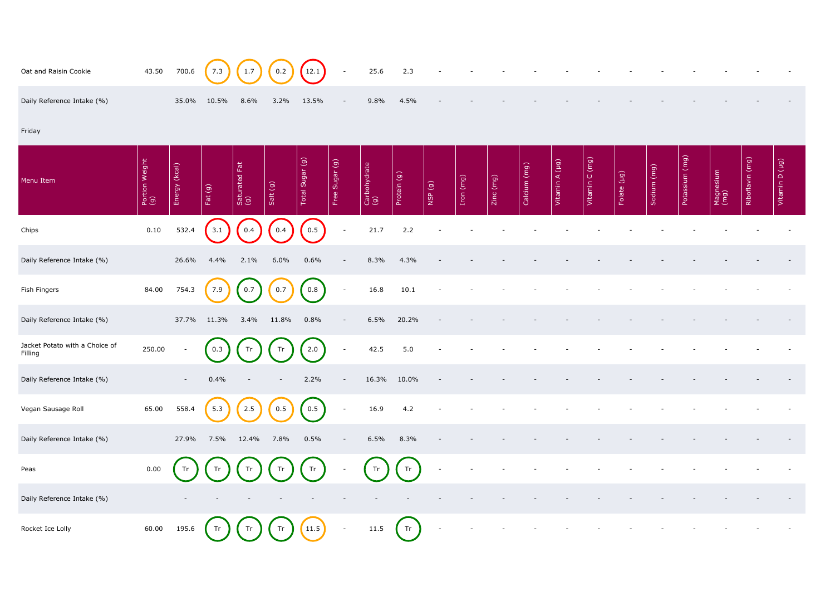| Oat and Raisin Cookie                     | 43.50                 | 700.6                    | 7.3       | 1.7                                 | 0.2      | (12.1)          | $\sim$                   | 25.6                | 2.3         |                          |           |           |              |                |                |             |             |                |                   |                 |                |
|-------------------------------------------|-----------------------|--------------------------|-----------|-------------------------------------|----------|-----------------|--------------------------|---------------------|-------------|--------------------------|-----------|-----------|--------------|----------------|----------------|-------------|-------------|----------------|-------------------|-----------------|----------------|
| Daily Reference Intake (%)                |                       | 35.0%                    | 10.5%     | 8.6%                                | 3.2%     | 13.5%           |                          | 9.8%                | 4.5%        |                          |           |           |              |                |                |             |             |                |                   |                 |                |
| Friday                                    |                       |                          |           |                                     |          |                 |                          |                     |             |                          |           |           |              |                |                |             |             |                |                   |                 |                |
| Menu Item                                 | Portion Weight<br>(g) | Energy (kcal)            | Fat $(g)$ | Saturated Fat<br>(g)                | Salt (g) | Total Sugar (g) | Free Sugar (g)           | Carbohydrate<br>(g) | Protein (g) | NSP(g)                   | Iron (mg) | Zinc (mg) | Calcium (mg) | Vitamin A (µg) | Vitamin C (mg) | Folate (µg) | Sodium (mg) | Potassium (mg) | Magnesium<br>(mg) | Riboflavin (mg) | Vitamin D (µg) |
| Chips                                     | 0.10                  | 532.4                    | 3.1       | $\begin{bmatrix} 0.4 \end{bmatrix}$ | 0.4      | 0.5             | $\sim$                   | 21.7                | 2.2         |                          |           |           |              |                |                |             |             |                |                   |                 |                |
| Daily Reference Intake (%)                |                       | 26.6%                    | 4.4%      | 2.1%                                | 6.0%     | 0.6%            |                          | 8.3%                | 4.3%        |                          |           |           |              |                |                |             |             |                |                   |                 |                |
| Fish Fingers                              | 84.00                 | 754.3                    | 7.9       | 0.7                                 | 0.7      | 0.8             | $\overline{\phantom{a}}$ | 16.8                | 10.1        |                          |           |           |              |                |                |             |             |                |                   |                 |                |
| Daily Reference Intake (%)                |                       | 37.7%                    | 11.3%     | 3.4%                                | 11.8%    | 0.8%            |                          | 6.5%                | 20.2%       |                          |           |           |              |                |                |             |             |                |                   |                 |                |
| Jacket Potato with a Choice of<br>Filling | 250.00                | $\overline{\phantom{a}}$ | 0.3       | Tr                                  | Tr       | 2.0             | $\overline{\phantom{a}}$ | 42.5                | 5.0         |                          |           |           |              |                |                |             |             |                |                   |                 |                |
| Daily Reference Intake (%)                |                       | $\sim$                   | 0.4%      |                                     |          | 2.2%            | $ \,$                    |                     | 16.3% 10.0% |                          |           |           |              |                |                |             |             |                |                   |                 |                |
| Vegan Sausage Roll                        | 65.00                 | 558.4                    | 5.3       | 2.5                                 | 0.5      | 0.5             | $\sim$                   | 16.9                | 4.2         |                          |           |           |              |                |                |             |             |                |                   |                 |                |
| Daily Reference Intake (%)                |                       | 27.9%                    | 7.5%      | 12.4%                               | 7.8%     | 0.5%            | $\overline{\phantom{a}}$ | 6.5%                | 8.3%        |                          |           |           |              |                |                |             |             |                |                   |                 |                |
| Peas                                      | 0.00                  | Tr                       | Tr        | Tr                                  | Tr       | Tr              |                          | Tr                  | Tr          | $\overline{\phantom{a}}$ |           |           |              |                |                |             |             |                |                   |                 |                |
| Daily Reference Intake (%)                |                       |                          |           |                                     |          |                 |                          |                     |             |                          |           |           |              |                |                |             |             |                |                   |                 |                |
| Rocket Ice Lolly                          | 60.00                 | 195.6                    | Tr        | Tr                                  | Tr       | (11.5)          | $\overline{\phantom{a}}$ | 11.5                | Tr          | $\overline{\phantom{a}}$ |           |           |              |                |                |             |             |                |                   |                 |                |